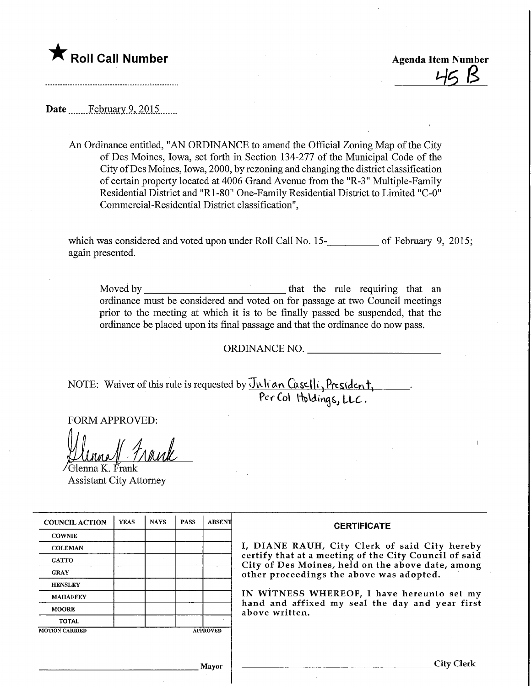Roll Call Number<br>Agenda Item Number<br>Agenda Item Number Agenda Item Number

Date ........February.9,.2015.

An Ordinance entitled, "AN ORDINANCE to amend the Official Zoning Map of the City of Des Moines, Iowa, set forth in Section 134-277 of the Municipal Code of the City ofDes Moines, Iowa, 2000, by rezoning and changing the district classification of certain property located at 4006 Grand Avenue from the "R-3" Multiple-Family Residential District and "R1-80" One-Family Residential District to Limited "C-0" Commercial-Residential District classification",

which was considered and voted upon under Roll Call No. 15-<br>
<u>...</u> of February 9, 2015; again presented.

Moved by that the multiple that the multiple requiring that an ordinance must be considered and voted on for passage at two Council meetings prior to the meeting at which it is to be finally passed be suspended, that the ordinance be placed upon its final passage and that the ordinance do now pass.

ORDINANCE NO.

NOTE: Waiver of this rule is requested by Unlian Caselli, President Per Col Holdings, LLC.

FORM APPROVED:

/Glenna K. frank Assistant City Attorney

| <b>COUNCIL ACTION</b> | <b>YEAS</b> | <b>NAYS</b> | <b>PASS</b> | <b>ABSENT</b>   | <b>CERTIFICATE</b><br>I, DIANE RAUH, City Clerk of said City hereby<br>certify that at a meeting of the City Council of said<br>City of Des Moines, held on the above date, among<br>other proceedings the above was adopted.<br>IN WITNESS WHEREOF, I have hereunto set my<br>hand and affixed my seal the day and year first<br>above written. |
|-----------------------|-------------|-------------|-------------|-----------------|--------------------------------------------------------------------------------------------------------------------------------------------------------------------------------------------------------------------------------------------------------------------------------------------------------------------------------------------------|
| <b>COWNIE</b>         |             |             |             |                 |                                                                                                                                                                                                                                                                                                                                                  |
| <b>COLEMAN</b>        |             |             |             |                 |                                                                                                                                                                                                                                                                                                                                                  |
| <b>GATTO</b>          |             |             |             |                 |                                                                                                                                                                                                                                                                                                                                                  |
| <b>GRAY</b>           |             |             |             |                 |                                                                                                                                                                                                                                                                                                                                                  |
| <b>HENSLEY</b>        |             |             |             |                 |                                                                                                                                                                                                                                                                                                                                                  |
| <b>MAHAFFEY</b>       |             |             |             |                 |                                                                                                                                                                                                                                                                                                                                                  |
| <b>MOORE</b>          |             |             |             |                 |                                                                                                                                                                                                                                                                                                                                                  |
| <b>TOTAL</b>          |             |             |             |                 |                                                                                                                                                                                                                                                                                                                                                  |
| <b>MOTION CARRIED</b> |             |             |             | <b>APPROVED</b> |                                                                                                                                                                                                                                                                                                                                                  |
|                       |             |             |             |                 |                                                                                                                                                                                                                                                                                                                                                  |
|                       |             |             |             | Mayor           | City Clerl                                                                                                                                                                                                                                                                                                                                       |